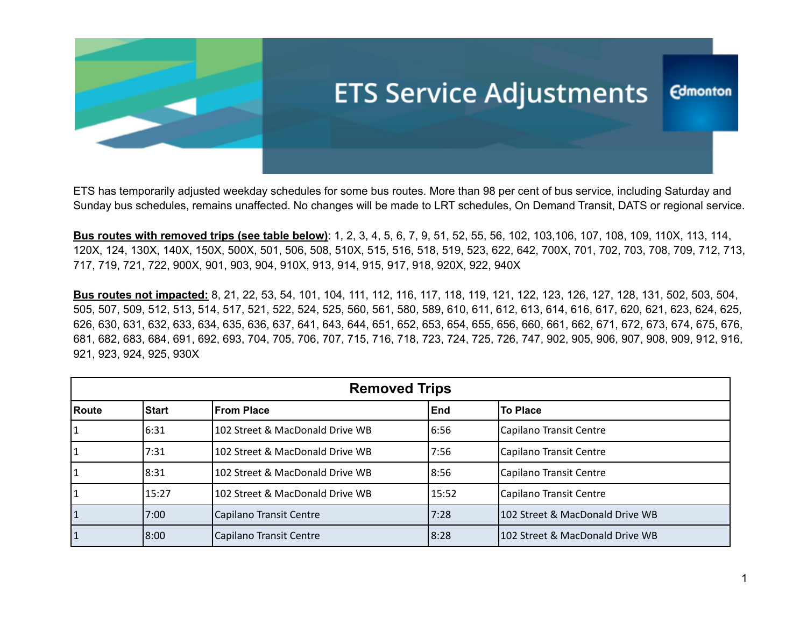

ETS has temporarily adjusted weekday schedules for some bus routes. More than 98 per cent of bus service, including Saturday and Sunday bus schedules, remains unaffected. No changes will be made to LRT schedules, On Demand Transit, DATS or regional service.

**Bus routes with removed trips (see table below)**: 1, 2, 3, 4, 5, 6, 7, 9, 51, 52, 55, 56, 102, 103,106, 107, 108, 109, 110X, 113, 114, 120X, 124, 130X, 140X, 150X, 500X, 501, 506, 508, 510X, 515, 516, 518, 519, 523, 622, 642, 700X, 701, 702, 703, 708, 709, 712, 713, 717, 719, 721, 722, 900X, 901, 903, 904, 910X, 913, 914, 915, 917, 918, 920X, 922, 940X

**Bus routes not impacted:** 8, 21, 22, 53, 54, 101, 104, 111, 112, 116, 117, 118, 119, 121, 122, 123, 126, 127, 128, 131, 502, 503, 504, 505, 507, 509, 512, 513, 514, 517, 521, 522, 524, 525, 560, 561, 580, 589, 610, 611, 612, 613, 614, 616, 617, 620, 621, 623, 624, 625, 626, 630, 631, 632, 633, 634, 635, 636, 637, 641, 643, 644, 651, 652, 653, 654, 655, 656, 660, 661, 662, 671, 672, 673, 674, 675, 676, 681, 682, 683, 684, 691, 692, 693, 704, 705, 706, 707, 715, 716, 718, 723, 724, 725, 726, 747, 902, 905, 906, 907, 908, 909, 912, 916, 921, 923, 924, 925, 930X

| <b>Removed Trips</b> |              |                                 |       |                                 |  |
|----------------------|--------------|---------------------------------|-------|---------------------------------|--|
| Route                | <b>Start</b> | <b>From Place</b>               | End   | <b>To Place</b>                 |  |
|                      | 6:31         | 102 Street & MacDonald Drive WB | 6:56  | Capilano Transit Centre         |  |
|                      | 7:31         | 102 Street & MacDonald Drive WB | 7:56  | Capilano Transit Centre         |  |
|                      | 8:31         | 102 Street & MacDonald Drive WB | 8:56  | Capilano Transit Centre         |  |
|                      | 15:27        | 102 Street & MacDonald Drive WB | 15:52 | Capilano Transit Centre         |  |
|                      | 7:00         | Capilano Transit Centre         | 7:28  | 102 Street & MacDonald Drive WB |  |
|                      | 18:00        | Capilano Transit Centre         | 18:28 | 102 Street & MacDonald Drive WB |  |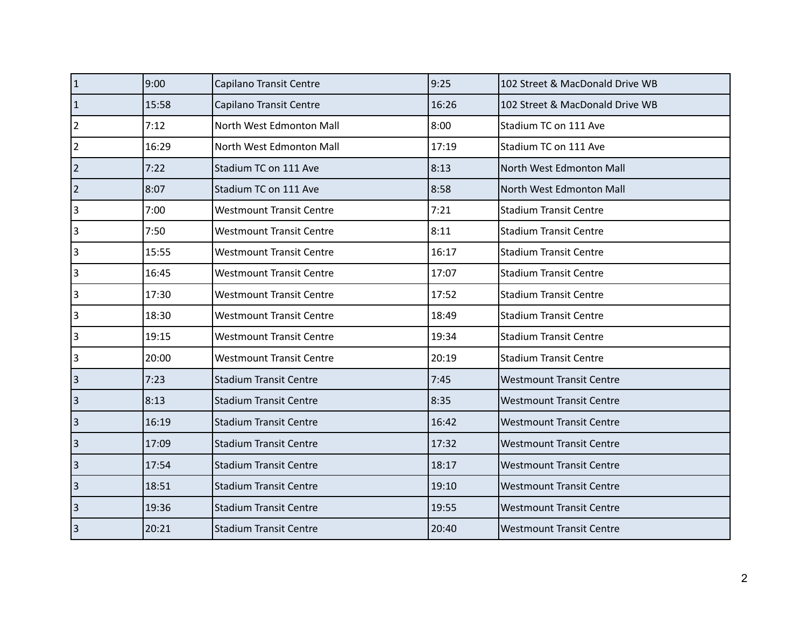| $\overline{1}$       | 9:00  | Capilano Transit Centre         | 9:25  | 102 Street & MacDonald Drive WB |
|----------------------|-------|---------------------------------|-------|---------------------------------|
| $\vert$ 1            | 15:58 | Capilano Transit Centre         | 16:26 | 102 Street & MacDonald Drive WB |
| 2                    | 7:12  | North West Edmonton Mall        | 8:00  | Stadium TC on 111 Ave           |
| 2                    | 16:29 | North West Edmonton Mall        | 17:19 | Stadium TC on 111 Ave           |
| 2                    | 7:22  | Stadium TC on 111 Ave           | 8:13  | North West Edmonton Mall        |
| $\vert$ <sub>2</sub> | 8:07  | Stadium TC on 111 Ave           | 8:58  | North West Edmonton Mall        |
| 3                    | 7:00  | <b>Westmount Transit Centre</b> | 7:21  | <b>Stadium Transit Centre</b>   |
| 3                    | 7:50  | <b>Westmount Transit Centre</b> | 8:11  | <b>Stadium Transit Centre</b>   |
| 3                    | 15:55 | <b>Westmount Transit Centre</b> | 16:17 | <b>Stadium Transit Centre</b>   |
| 3                    | 16:45 | <b>Westmount Transit Centre</b> | 17:07 | <b>Stadium Transit Centre</b>   |
| 3                    | 17:30 | <b>Westmount Transit Centre</b> | 17:52 | <b>Stadium Transit Centre</b>   |
| 3                    | 18:30 | <b>Westmount Transit Centre</b> | 18:49 | <b>Stadium Transit Centre</b>   |
| 3                    | 19:15 | <b>Westmount Transit Centre</b> | 19:34 | <b>Stadium Transit Centre</b>   |
| 3                    | 20:00 | <b>Westmount Transit Centre</b> | 20:19 | <b>Stadium Transit Centre</b>   |
| $\vert$ 3            | 7:23  | <b>Stadium Transit Centre</b>   | 7:45  | <b>Westmount Transit Centre</b> |
| <sub>3</sub>         | 8:13  | <b>Stadium Transit Centre</b>   | 8:35  | <b>Westmount Transit Centre</b> |
| 3                    | 16:19 | <b>Stadium Transit Centre</b>   | 16:42 | <b>Westmount Transit Centre</b> |
| <sub>3</sub>         | 17:09 | <b>Stadium Transit Centre</b>   | 17:32 | <b>Westmount Transit Centre</b> |
| <sub>3</sub>         | 17:54 | <b>Stadium Transit Centre</b>   | 18:17 | <b>Westmount Transit Centre</b> |
| <sub>3</sub>         | 18:51 | <b>Stadium Transit Centre</b>   | 19:10 | <b>Westmount Transit Centre</b> |
| $\vert$ 3            | 19:36 | <b>Stadium Transit Centre</b>   | 19:55 | <b>Westmount Transit Centre</b> |
| 3                    | 20:21 | <b>Stadium Transit Centre</b>   | 20:40 | <b>Westmount Transit Centre</b> |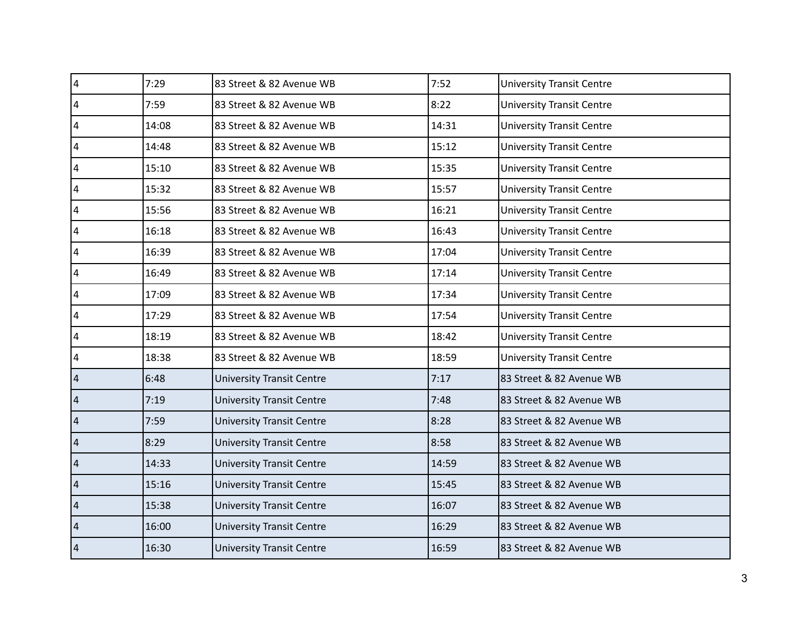| $\overline{\mathbf{4}}$ | 7:29  | 83 Street & 82 Avenue WB         | 7:52  | <b>University Transit Centre</b> |
|-------------------------|-------|----------------------------------|-------|----------------------------------|
| $\overline{4}$          | 7:59  | 83 Street & 82 Avenue WB         | 8:22  | <b>University Transit Centre</b> |
| $\overline{a}$          | 14:08 | 83 Street & 82 Avenue WB         | 14:31 | <b>University Transit Centre</b> |
| $\overline{4}$          | 14:48 | 83 Street & 82 Avenue WB         | 15:12 | <b>University Transit Centre</b> |
| 4                       | 15:10 | 83 Street & 82 Avenue WB         | 15:35 | <b>University Transit Centre</b> |
| 4                       | 15:32 | 83 Street & 82 Avenue WB         | 15:57 | <b>University Transit Centre</b> |
| 4                       | 15:56 | 83 Street & 82 Avenue WB         | 16:21 | <b>University Transit Centre</b> |
| 4                       | 16:18 | 83 Street & 82 Avenue WB         | 16:43 | <b>University Transit Centre</b> |
| 4                       | 16:39 | 83 Street & 82 Avenue WB         | 17:04 | <b>University Transit Centre</b> |
| $\overline{4}$          | 16:49 | 83 Street & 82 Avenue WB         | 17:14 | <b>University Transit Centre</b> |
| 4                       | 17:09 | 83 Street & 82 Avenue WB         | 17:34 | <b>University Transit Centre</b> |
| 4                       | 17:29 | 83 Street & 82 Avenue WB         | 17:54 | <b>University Transit Centre</b> |
| 4                       | 18:19 | 83 Street & 82 Avenue WB         | 18:42 | <b>University Transit Centre</b> |
| 4                       | 18:38 | 83 Street & 82 Avenue WB         | 18:59 | <b>University Transit Centre</b> |
| $\vert 4$               | 6:48  | <b>University Transit Centre</b> | 7:17  | 83 Street & 82 Avenue WB         |
| $\vert 4 \vert$         | 7:19  | <b>University Transit Centre</b> | 7:48  | 83 Street & 82 Avenue WB         |
| $\overline{4}$          | 7:59  | <b>University Transit Centre</b> | 8:28  | 83 Street & 82 Avenue WB         |
| $\vert 4$               | 8:29  | <b>University Transit Centre</b> | 8:58  | 83 Street & 82 Avenue WB         |
| 4                       | 14:33 | <b>University Transit Centre</b> | 14:59 | 83 Street & 82 Avenue WB         |
| $\vert 4 \vert$         | 15:16 | <b>University Transit Centre</b> | 15:45 | 83 Street & 82 Avenue WB         |
| $\vert 4$               | 15:38 | <b>University Transit Centre</b> | 16:07 | 83 Street & 82 Avenue WB         |
| $\overline{4}$          | 16:00 | <b>University Transit Centre</b> | 16:29 | 83 Street & 82 Avenue WB         |
| 4                       | 16:30 | <b>University Transit Centre</b> | 16:59 | 83 Street & 82 Avenue WB         |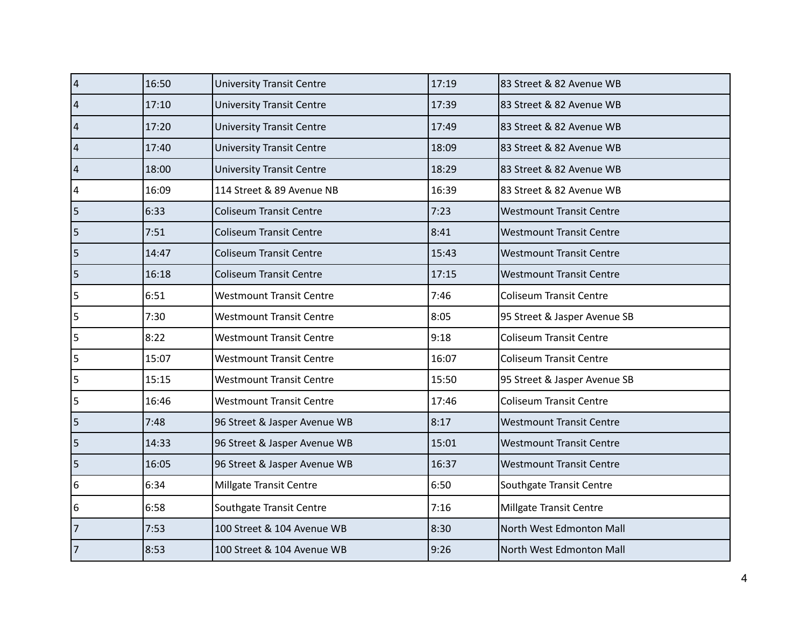| $\overline{4}$           | 16:50 | <b>University Transit Centre</b> | 17:19 | 83 Street & 82 Avenue WB        |
|--------------------------|-------|----------------------------------|-------|---------------------------------|
| $\vert$ 4                | 17:10 | <b>University Transit Centre</b> | 17:39 | 83 Street & 82 Avenue WB        |
| $\vert 4$                | 17:20 | <b>University Transit Centre</b> | 17:49 | 83 Street & 82 Avenue WB        |
| $\vert 4$                | 17:40 | <b>University Transit Centre</b> | 18:09 | 83 Street & 82 Avenue WB        |
| $\vert$ 4                | 18:00 | <b>University Transit Centre</b> | 18:29 | 83 Street & 82 Avenue WB        |
| 4                        | 16:09 | 114 Street & 89 Avenue NB        | 16:39 | 83 Street & 82 Avenue WB        |
| $\vert$ 5                | 6:33  | <b>Coliseum Transit Centre</b>   | 7:23  | <b>Westmount Transit Centre</b> |
| $\vert$ 5                | 7:51  | <b>Coliseum Transit Centre</b>   | 8:41  | <b>Westmount Transit Centre</b> |
| $\overline{5}$           | 14:47 | <b>Coliseum Transit Centre</b>   | 15:43 | <b>Westmount Transit Centre</b> |
| $\vert$ 5                | 16:18 | <b>Coliseum Transit Centre</b>   | 17:15 | <b>Westmount Transit Centre</b> |
| $\overline{5}$           | 6:51  | <b>Westmount Transit Centre</b>  | 7:46  | <b>Coliseum Transit Centre</b>  |
| $\overline{5}$           | 7:30  | <b>Westmount Transit Centre</b>  | 8:05  | 95 Street & Jasper Avenue SB    |
| $\overline{\mathbf{5}}$  | 8:22  | <b>Westmount Transit Centre</b>  | 9:18  | <b>Coliseum Transit Centre</b>  |
| 5                        | 15:07 | <b>Westmount Transit Centre</b>  | 16:07 | <b>Coliseum Transit Centre</b>  |
| $\vert$ 5                | 15:15 | <b>Westmount Transit Centre</b>  | 15:50 | 95 Street & Jasper Avenue SB    |
| $\overline{\phantom{a}}$ | 16:46 | <b>Westmount Transit Centre</b>  | 17:46 | <b>Coliseum Transit Centre</b>  |
| $\vert$ 5                | 7:48  | 96 Street & Jasper Avenue WB     | 8:17  | <b>Westmount Transit Centre</b> |
| $\vert$ 5                | 14:33 | 96 Street & Jasper Avenue WB     | 15:01 | <b>Westmount Transit Centre</b> |
| $\vert$ 5                | 16:05 | 96 Street & Jasper Avenue WB     | 16:37 | <b>Westmount Transit Centre</b> |
| 6                        | 6:34  | <b>Millgate Transit Centre</b>   | 6:50  | Southgate Transit Centre        |
| 6                        | 6:58  | Southgate Transit Centre         | 7:16  | Millgate Transit Centre         |
| $\overline{7}$           | 7:53  | 100 Street & 104 Avenue WB       | 8:30  | North West Edmonton Mall        |
| $ _7$                    | 8:53  | 100 Street & 104 Avenue WB       | 9:26  | North West Edmonton Mall        |
|                          |       |                                  |       |                                 |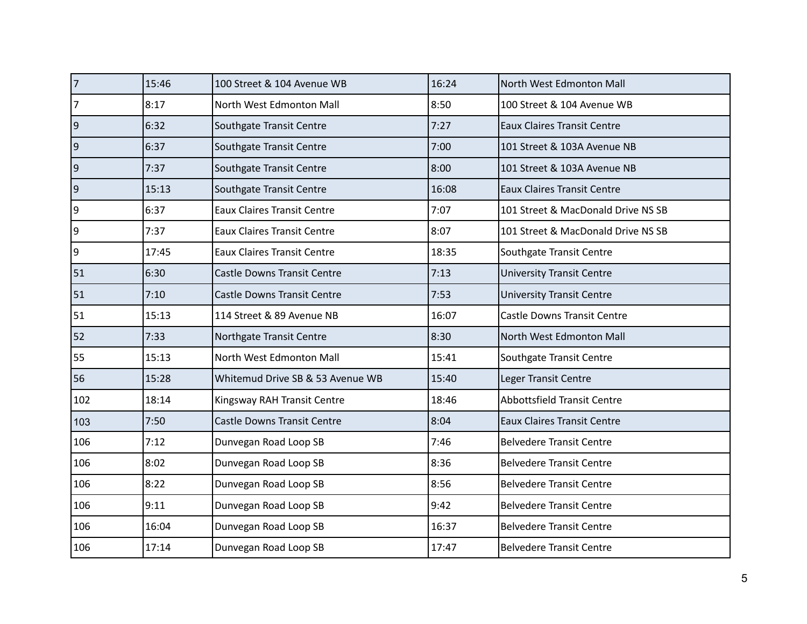| 7                | 15:46 | 100 Street & 104 Avenue WB         | 16:24 | North West Edmonton Mall           |
|------------------|-------|------------------------------------|-------|------------------------------------|
| $\overline{7}$   | 8:17  | North West Edmonton Mall           | 8:50  | 100 Street & 104 Avenue WB         |
| 9                | 6:32  | Southgate Transit Centre           | 7:27  | <b>Eaux Claires Transit Centre</b> |
| $ 9\rangle$      | 6:37  | Southgate Transit Centre           | 7:00  | 101 Street & 103A Avenue NB        |
| $ 9\rangle$      | 7:37  | Southgate Transit Centre           | 8:00  | 101 Street & 103A Avenue NB        |
| 9                | 15:13 | Southgate Transit Centre           | 16:08 | <b>Eaux Claires Transit Centre</b> |
| $\boldsymbol{9}$ | 6:37  | <b>Eaux Claires Transit Centre</b> | 7:07  | 101 Street & MacDonald Drive NS SB |
| 9                | 7:37  | <b>Eaux Claires Transit Centre</b> | 8:07  | 101 Street & MacDonald Drive NS SB |
| $\boldsymbol{9}$ | 17:45 | <b>Eaux Claires Transit Centre</b> | 18:35 | Southgate Transit Centre           |
| 51               | 6:30  | <b>Castle Downs Transit Centre</b> | 7:13  | <b>University Transit Centre</b>   |
| 51               | 7:10  | <b>Castle Downs Transit Centre</b> | 7:53  | <b>University Transit Centre</b>   |
| 51               | 15:13 | 114 Street & 89 Avenue NB          | 16:07 | <b>Castle Downs Transit Centre</b> |
| 52               | 7:33  | Northgate Transit Centre           | 8:30  | North West Edmonton Mall           |
| 55               | 15:13 | North West Edmonton Mall           | 15:41 | Southgate Transit Centre           |
| 56               | 15:28 | Whitemud Drive SB & 53 Avenue WB   | 15:40 | Leger Transit Centre               |
| 102              | 18:14 | Kingsway RAH Transit Centre        | 18:46 | <b>Abbottsfield Transit Centre</b> |
| 103              | 7:50  | <b>Castle Downs Transit Centre</b> | 8:04  | <b>Eaux Claires Transit Centre</b> |
| 106              | 7:12  | Dunvegan Road Loop SB              | 7:46  | <b>Belvedere Transit Centre</b>    |
| 106              | 8:02  | Dunvegan Road Loop SB              | 8:36  | <b>Belvedere Transit Centre</b>    |
| 106              | 8:22  | Dunvegan Road Loop SB              | 8:56  | <b>Belvedere Transit Centre</b>    |
| 106              | 9:11  | Dunvegan Road Loop SB              | 9:42  | <b>Belvedere Transit Centre</b>    |
| 106              | 16:04 | Dunvegan Road Loop SB              | 16:37 | <b>Belvedere Transit Centre</b>    |
| 106              | 17:14 | Dunvegan Road Loop SB              | 17:47 | <b>Belvedere Transit Centre</b>    |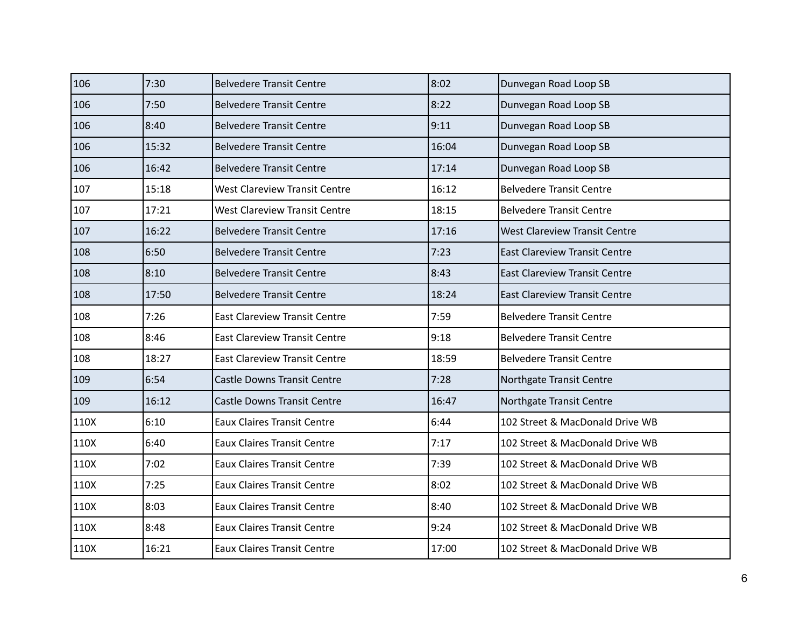| 106  | 7:30  | <b>Belvedere Transit Centre</b>      | 8:02  | Dunvegan Road Loop SB                |
|------|-------|--------------------------------------|-------|--------------------------------------|
| 106  | 7:50  | <b>Belvedere Transit Centre</b>      | 8:22  | Dunvegan Road Loop SB                |
| 106  | 8:40  | <b>Belvedere Transit Centre</b>      | 9:11  | Dunvegan Road Loop SB                |
| 106  | 15:32 | <b>Belvedere Transit Centre</b>      | 16:04 | Dunvegan Road Loop SB                |
| 106  | 16:42 | <b>Belvedere Transit Centre</b>      | 17:14 | Dunvegan Road Loop SB                |
| 107  | 15:18 | <b>West Clareview Transit Centre</b> | 16:12 | <b>Belvedere Transit Centre</b>      |
| 107  | 17:21 | <b>West Clareview Transit Centre</b> | 18:15 | <b>Belvedere Transit Centre</b>      |
| 107  | 16:22 | <b>Belvedere Transit Centre</b>      | 17:16 | <b>West Clareview Transit Centre</b> |
| 108  | 6:50  | <b>Belvedere Transit Centre</b>      | 7:23  | <b>East Clareview Transit Centre</b> |
| 108  | 8:10  | <b>Belvedere Transit Centre</b>      | 8:43  | <b>East Clareview Transit Centre</b> |
| 108  | 17:50 | <b>Belvedere Transit Centre</b>      | 18:24 | <b>East Clareview Transit Centre</b> |
| 108  | 7:26  | <b>East Clareview Transit Centre</b> | 7:59  | <b>Belvedere Transit Centre</b>      |
| 108  | 8:46  | <b>East Clareview Transit Centre</b> | 9:18  | <b>Belvedere Transit Centre</b>      |
| 108  | 18:27 | <b>East Clareview Transit Centre</b> | 18:59 | <b>Belvedere Transit Centre</b>      |
| 109  | 6:54  | <b>Castle Downs Transit Centre</b>   | 7:28  | Northgate Transit Centre             |
| 109  | 16:12 | <b>Castle Downs Transit Centre</b>   | 16:47 | Northgate Transit Centre             |
| 110X | 6:10  | <b>Eaux Claires Transit Centre</b>   | 6:44  | 102 Street & MacDonald Drive WB      |
| 110X | 6:40  | <b>Eaux Claires Transit Centre</b>   | 7:17  | 102 Street & MacDonald Drive WB      |
| 110X | 7:02  | <b>Eaux Claires Transit Centre</b>   | 7:39  | 102 Street & MacDonald Drive WB      |
| 110X | 7:25  | <b>Eaux Claires Transit Centre</b>   | 8:02  | 102 Street & MacDonald Drive WB      |
| 110X | 8:03  | <b>Eaux Claires Transit Centre</b>   | 8:40  | 102 Street & MacDonald Drive WB      |
| 110X | 8:48  | <b>Eaux Claires Transit Centre</b>   | 9:24  | 102 Street & MacDonald Drive WB      |
| 110X | 16:21 | <b>Eaux Claires Transit Centre</b>   | 17:00 | 102 Street & MacDonald Drive WB      |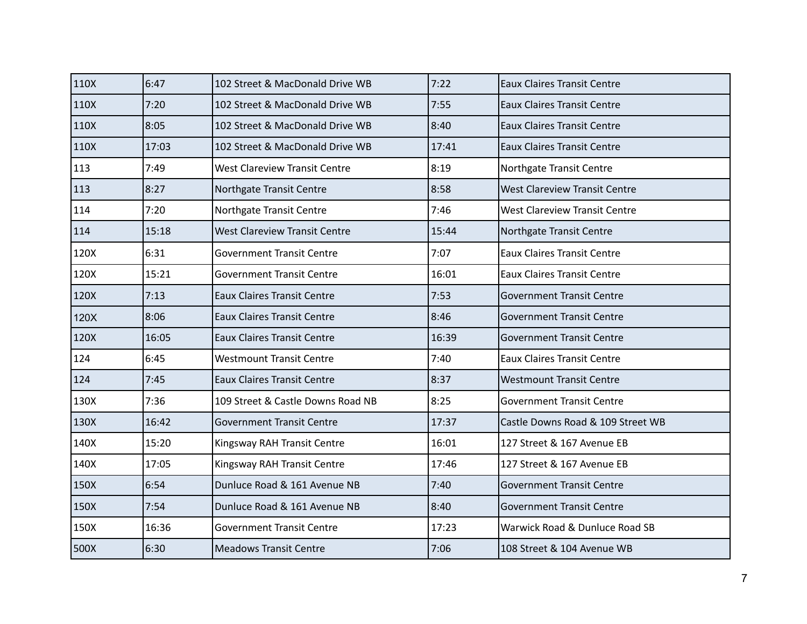| 110X | 6:47  | 102 Street & MacDonald Drive WB      | 7:22  | <b>Eaux Claires Transit Centre</b>   |
|------|-------|--------------------------------------|-------|--------------------------------------|
| 110X | 7:20  | 102 Street & MacDonald Drive WB      | 7:55  | <b>Eaux Claires Transit Centre</b>   |
| 110X | 8:05  | 102 Street & MacDonald Drive WB      | 8:40  | <b>Eaux Claires Transit Centre</b>   |
| 110X | 17:03 | 102 Street & MacDonald Drive WB      | 17:41 | <b>Eaux Claires Transit Centre</b>   |
| 113  | 7:49  | <b>West Clareview Transit Centre</b> | 8:19  | Northgate Transit Centre             |
| 113  | 8:27  | Northgate Transit Centre             | 8:58  | <b>West Clareview Transit Centre</b> |
| 114  | 7:20  | Northgate Transit Centre             | 7:46  | <b>West Clareview Transit Centre</b> |
| 114  | 15:18 | <b>West Clareview Transit Centre</b> | 15:44 | Northgate Transit Centre             |
| 120X | 6:31  | <b>Government Transit Centre</b>     | 7:07  | <b>Eaux Claires Transit Centre</b>   |
| 120X | 15:21 | <b>Government Transit Centre</b>     | 16:01 | <b>Eaux Claires Transit Centre</b>   |
| 120X | 7:13  | <b>Eaux Claires Transit Centre</b>   | 7:53  | <b>Government Transit Centre</b>     |
| 120X | 8:06  | <b>Eaux Claires Transit Centre</b>   | 8:46  | <b>Government Transit Centre</b>     |
| 120X | 16:05 | <b>Eaux Claires Transit Centre</b>   | 16:39 | <b>Government Transit Centre</b>     |
| 124  | 6:45  | <b>Westmount Transit Centre</b>      | 7:40  | <b>Eaux Claires Transit Centre</b>   |
| 124  | 7:45  | <b>Eaux Claires Transit Centre</b>   | 8:37  | <b>Westmount Transit Centre</b>      |
| 130X | 7:36  | 109 Street & Castle Downs Road NB    | 8:25  | <b>Government Transit Centre</b>     |
| 130X | 16:42 | <b>Government Transit Centre</b>     | 17:37 | Castle Downs Road & 109 Street WB    |
| 140X | 15:20 | Kingsway RAH Transit Centre          | 16:01 | 127 Street & 167 Avenue EB           |
| 140X | 17:05 | Kingsway RAH Transit Centre          | 17:46 | 127 Street & 167 Avenue EB           |
| 150X | 6:54  | Dunluce Road & 161 Avenue NB         | 7:40  | <b>Government Transit Centre</b>     |
| 150X | 7:54  | Dunluce Road & 161 Avenue NB         | 8:40  | <b>Government Transit Centre</b>     |
| 150X | 16:36 | <b>Government Transit Centre</b>     | 17:23 | Warwick Road & Dunluce Road SB       |
| 500X | 6:30  | <b>Meadows Transit Centre</b>        | 7:06  | 108 Street & 104 Avenue WB           |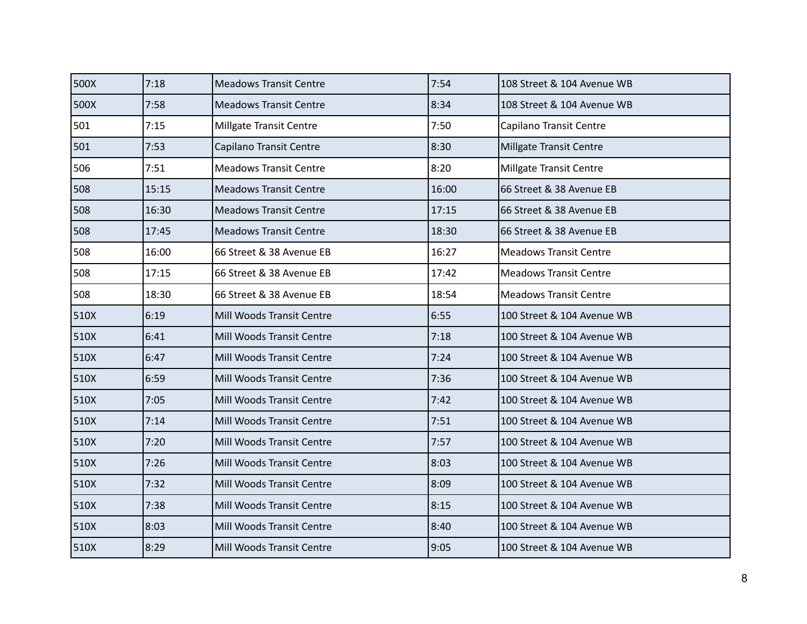| 500X | 7:18  | <b>Meadows Transit Centre</b>  | 7:54  | 108 Street & 104 Avenue WB    |
|------|-------|--------------------------------|-------|-------------------------------|
| 500X | 7:58  | <b>Meadows Transit Centre</b>  | 8:34  | 108 Street & 104 Avenue WB    |
| 501  | 7:15  | <b>Millgate Transit Centre</b> | 7:50  | Capilano Transit Centre       |
| 501  | 7:53  | Capilano Transit Centre        | 8:30  | Millgate Transit Centre       |
| 506  | 7:51  | <b>Meadows Transit Centre</b>  | 8:20  | Millgate Transit Centre       |
| 508  | 15:15 | <b>Meadows Transit Centre</b>  | 16:00 | 66 Street & 38 Avenue EB      |
| 508  | 16:30 | <b>Meadows Transit Centre</b>  | 17:15 | 66 Street & 38 Avenue EB      |
| 508  | 17:45 | <b>Meadows Transit Centre</b>  | 18:30 | 66 Street & 38 Avenue EB      |
| 508  | 16:00 | 66 Street & 38 Avenue EB       | 16:27 | <b>Meadows Transit Centre</b> |
| 508  | 17:15 | 66 Street & 38 Avenue EB       | 17:42 | Meadows Transit Centre        |
| 508  | 18:30 | 66 Street & 38 Avenue EB       | 18:54 | <b>Meadows Transit Centre</b> |
| 510X | 6:19  | Mill Woods Transit Centre      | 6:55  | 100 Street & 104 Avenue WB    |
| 510X | 6:41  | Mill Woods Transit Centre      | 7:18  | 100 Street & 104 Avenue WB    |
| 510X | 6:47  | Mill Woods Transit Centre      | 7:24  | 100 Street & 104 Avenue WB    |
| 510X | 6:59  | Mill Woods Transit Centre      | 7:36  | 100 Street & 104 Avenue WB    |
| 510X | 7:05  | Mill Woods Transit Centre      | 7:42  | 100 Street & 104 Avenue WB    |
| 510X | 7:14  | Mill Woods Transit Centre      | 7:51  | 100 Street & 104 Avenue WB    |
| 510X | 7:20  | Mill Woods Transit Centre      | 7:57  | 100 Street & 104 Avenue WB    |
| 510X | 7:26  | Mill Woods Transit Centre      | 8:03  | 100 Street & 104 Avenue WB    |
| 510X | 7:32  | Mill Woods Transit Centre      | 8:09  | 100 Street & 104 Avenue WB    |
| 510X | 7:38  | Mill Woods Transit Centre      | 8:15  | 100 Street & 104 Avenue WB    |
| 510X | 8:03  | Mill Woods Transit Centre      | 8:40  | 100 Street & 104 Avenue WB    |
| 510X | 8:29  | Mill Woods Transit Centre      | 9:05  | 100 Street & 104 Avenue WB    |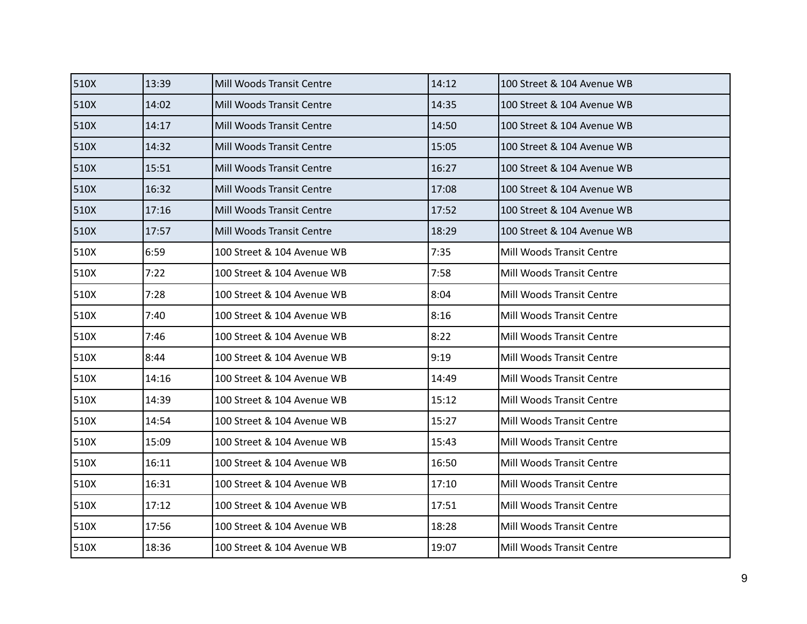| 510X | 13:39 | Mill Woods Transit Centre        | 14:12 | 100 Street & 104 Avenue WB |
|------|-------|----------------------------------|-------|----------------------------|
| 510X | 14:02 | Mill Woods Transit Centre        | 14:35 | 100 Street & 104 Avenue WB |
| 510X | 14:17 | <b>Mill Woods Transit Centre</b> | 14:50 | 100 Street & 104 Avenue WB |
| 510X | 14:32 | Mill Woods Transit Centre        | 15:05 | 100 Street & 104 Avenue WB |
| 510X | 15:51 | Mill Woods Transit Centre        | 16:27 | 100 Street & 104 Avenue WB |
| 510X | 16:32 | Mill Woods Transit Centre        | 17:08 | 100 Street & 104 Avenue WB |
| 510X | 17:16 | Mill Woods Transit Centre        | 17:52 | 100 Street & 104 Avenue WB |
| 510X | 17:57 | Mill Woods Transit Centre        | 18:29 | 100 Street & 104 Avenue WB |
| 510X | 6:59  | 100 Street & 104 Avenue WB       | 7:35  | Mill Woods Transit Centre  |
| 510X | 7:22  | 100 Street & 104 Avenue WB       | 7:58  | Mill Woods Transit Centre  |
| 510X | 7:28  | 100 Street & 104 Avenue WB       | 8:04  | Mill Woods Transit Centre  |
| 510X | 7:40  | 100 Street & 104 Avenue WB       | 8:16  | Mill Woods Transit Centre  |
| 510X | 7:46  | 100 Street & 104 Avenue WB       | 8:22  | Mill Woods Transit Centre  |
| 510X | 8:44  | 100 Street & 104 Avenue WB       | 9:19  | Mill Woods Transit Centre  |
| 510X | 14:16 | 100 Street & 104 Avenue WB       | 14:49 | Mill Woods Transit Centre  |
| 510X | 14:39 | 100 Street & 104 Avenue WB       | 15:12 | Mill Woods Transit Centre  |
| 510X | 14:54 | 100 Street & 104 Avenue WB       | 15:27 | Mill Woods Transit Centre  |
| 510X | 15:09 | 100 Street & 104 Avenue WB       | 15:43 | Mill Woods Transit Centre  |
| 510X | 16:11 | 100 Street & 104 Avenue WB       | 16:50 | Mill Woods Transit Centre  |
| 510X | 16:31 | 100 Street & 104 Avenue WB       | 17:10 | Mill Woods Transit Centre  |
| 510X | 17:12 | 100 Street & 104 Avenue WB       | 17:51 | Mill Woods Transit Centre  |
| 510X | 17:56 | 100 Street & 104 Avenue WB       | 18:28 | Mill Woods Transit Centre  |
| 510X | 18:36 | 100 Street & 104 Avenue WB       | 19:07 | Mill Woods Transit Centre  |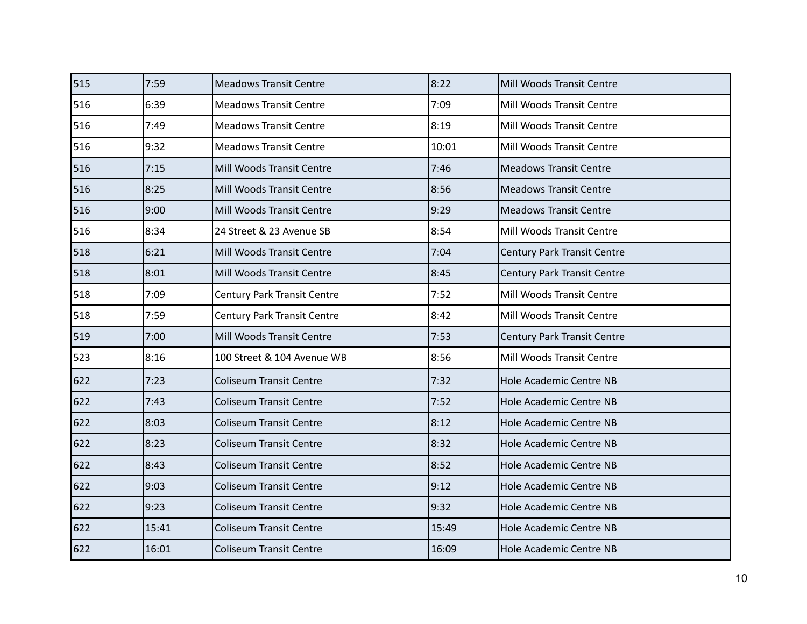| 515 | 7:59  | <b>Meadows Transit Centre</b>      | 8:22  | Mill Woods Transit Centre          |
|-----|-------|------------------------------------|-------|------------------------------------|
| 516 | 6:39  | <b>Meadows Transit Centre</b>      | 7:09  | Mill Woods Transit Centre          |
| 516 | 7:49  | <b>Meadows Transit Centre</b>      | 8:19  | Mill Woods Transit Centre          |
| 516 | 9:32  | <b>Meadows Transit Centre</b>      | 10:01 | Mill Woods Transit Centre          |
| 516 | 7:15  | Mill Woods Transit Centre          | 7:46  | <b>Meadows Transit Centre</b>      |
| 516 | 8:25  | Mill Woods Transit Centre          | 8:56  | <b>Meadows Transit Centre</b>      |
| 516 | 9:00  | Mill Woods Transit Centre          | 9:29  | <b>Meadows Transit Centre</b>      |
| 516 | 8:34  | 24 Street & 23 Avenue SB           | 8:54  | Mill Woods Transit Centre          |
| 518 | 6:21  | Mill Woods Transit Centre          | 7:04  | <b>Century Park Transit Centre</b> |
| 518 | 8:01  | Mill Woods Transit Centre          | 8:45  | <b>Century Park Transit Centre</b> |
| 518 | 7:09  | <b>Century Park Transit Centre</b> | 7:52  | Mill Woods Transit Centre          |
| 518 | 7:59  | <b>Century Park Transit Centre</b> | 8:42  | Mill Woods Transit Centre          |
| 519 | 7:00  | Mill Woods Transit Centre          | 7:53  | Century Park Transit Centre        |
| 523 | 8:16  | 100 Street & 104 Avenue WB         | 8:56  | Mill Woods Transit Centre          |
| 622 | 7:23  | <b>Coliseum Transit Centre</b>     | 7:32  | Hole Academic Centre NB            |
| 622 | 7:43  | <b>Coliseum Transit Centre</b>     | 7:52  | Hole Academic Centre NB            |
| 622 | 8:03  | <b>Coliseum Transit Centre</b>     | 8:12  | Hole Academic Centre NB            |
| 622 | 8:23  | <b>Coliseum Transit Centre</b>     | 8:32  | Hole Academic Centre NB            |
| 622 | 8:43  | <b>Coliseum Transit Centre</b>     | 8:52  | Hole Academic Centre NB            |
| 622 | 9:03  | <b>Coliseum Transit Centre</b>     | 9:12  | Hole Academic Centre NB            |
| 622 | 9:23  | <b>Coliseum Transit Centre</b>     | 9:32  | Hole Academic Centre NB            |
| 622 | 15:41 | <b>Coliseum Transit Centre</b>     | 15:49 | Hole Academic Centre NB            |
| 622 | 16:01 | <b>Coliseum Transit Centre</b>     | 16:09 | Hole Academic Centre NB            |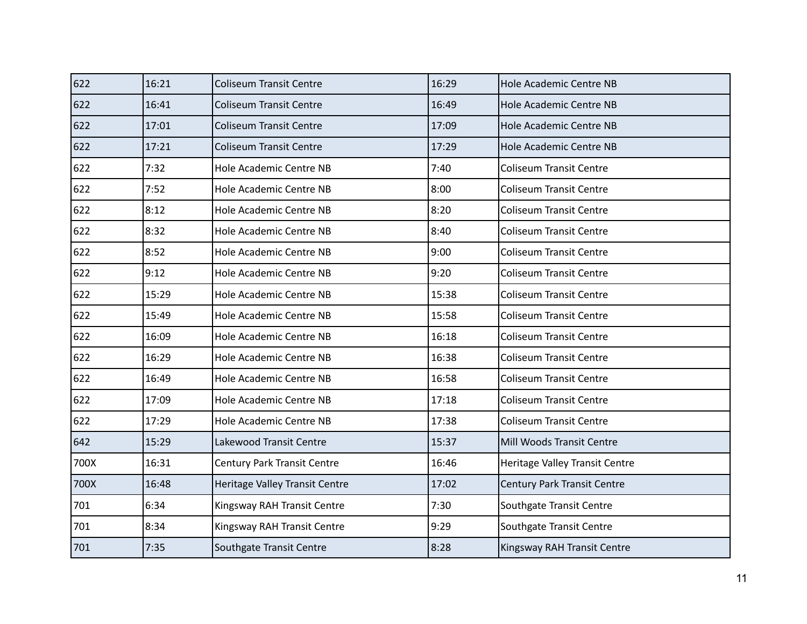| 622  | 16:21 | <b>Coliseum Transit Centre</b>     | 16:29 | <b>Hole Academic Centre NB</b> |
|------|-------|------------------------------------|-------|--------------------------------|
| 622  | 16:41 | <b>Coliseum Transit Centre</b>     | 16:49 | Hole Academic Centre NB        |
| 622  | 17:01 | <b>Coliseum Transit Centre</b>     | 17:09 | <b>Hole Academic Centre NB</b> |
| 622  | 17:21 | <b>Coliseum Transit Centre</b>     | 17:29 | Hole Academic Centre NB        |
| 622  | 7:32  | Hole Academic Centre NB            | 7:40  | Coliseum Transit Centre        |
| 622  | 7:52  | Hole Academic Centre NB            | 8:00  | <b>Coliseum Transit Centre</b> |
| 622  | 8:12  | Hole Academic Centre NB            | 8:20  | <b>Coliseum Transit Centre</b> |
| 622  | 8:32  | Hole Academic Centre NB            | 8:40  | <b>Coliseum Transit Centre</b> |
| 622  | 8:52  | Hole Academic Centre NB            | 9:00  | <b>Coliseum Transit Centre</b> |
| 622  | 9:12  | Hole Academic Centre NB            | 9:20  | <b>Coliseum Transit Centre</b> |
| 622  | 15:29 | Hole Academic Centre NB            | 15:38 | <b>Coliseum Transit Centre</b> |
| 622  | 15:49 | Hole Academic Centre NB            | 15:58 | <b>Coliseum Transit Centre</b> |
| 622  | 16:09 | Hole Academic Centre NB            | 16:18 | <b>Coliseum Transit Centre</b> |
| 622  | 16:29 | Hole Academic Centre NB            | 16:38 | <b>Coliseum Transit Centre</b> |
| 622  | 16:49 | Hole Academic Centre NB            | 16:58 | <b>Coliseum Transit Centre</b> |
| 622  | 17:09 | Hole Academic Centre NB            | 17:18 | <b>Coliseum Transit Centre</b> |
| 622  | 17:29 | Hole Academic Centre NB            | 17:38 | <b>Coliseum Transit Centre</b> |
| 642  | 15:29 | Lakewood Transit Centre            | 15:37 | Mill Woods Transit Centre      |
| 700X | 16:31 | <b>Century Park Transit Centre</b> | 16:46 | Heritage Valley Transit Centre |
| 700X | 16:48 | Heritage Valley Transit Centre     | 17:02 | Century Park Transit Centre    |
| 701  | 6:34  | Kingsway RAH Transit Centre        | 7:30  | Southgate Transit Centre       |
| 701  | 8:34  | Kingsway RAH Transit Centre        | 9:29  | Southgate Transit Centre       |
| 701  | 7:35  | Southgate Transit Centre           | 8:28  | Kingsway RAH Transit Centre    |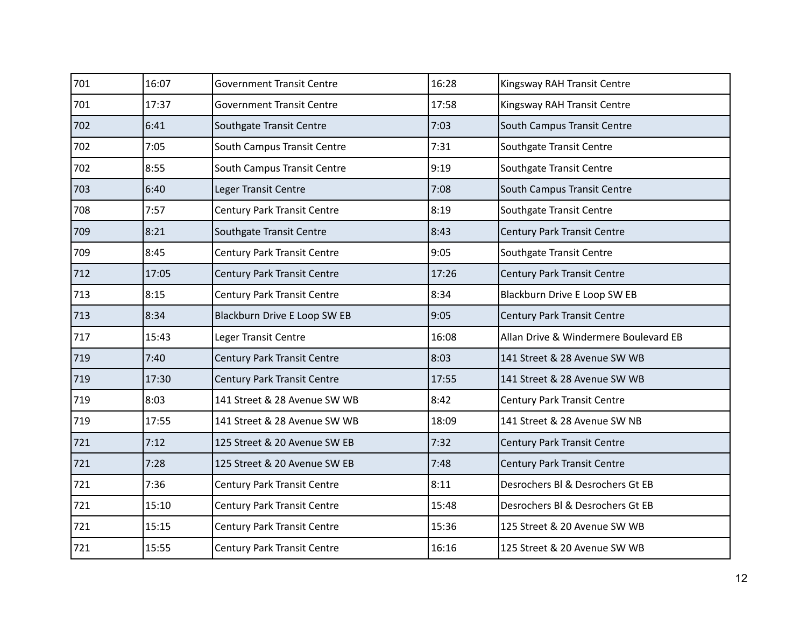| 701 | 16:07 | <b>Government Transit Centre</b>   | 16:28 | Kingsway RAH Transit Centre           |
|-----|-------|------------------------------------|-------|---------------------------------------|
| 701 | 17:37 | <b>Government Transit Centre</b>   | 17:58 | Kingsway RAH Transit Centre           |
| 702 | 6:41  | Southgate Transit Centre           | 7:03  | South Campus Transit Centre           |
| 702 | 7:05  | South Campus Transit Centre        | 7:31  | Southgate Transit Centre              |
| 702 | 8:55  | South Campus Transit Centre        | 9:19  | Southgate Transit Centre              |
| 703 | 6:40  | Leger Transit Centre               | 7:08  | South Campus Transit Centre           |
| 708 | 7:57  | Century Park Transit Centre        | 8:19  | Southgate Transit Centre              |
| 709 | 8:21  | Southgate Transit Centre           | 8:43  | Century Park Transit Centre           |
| 709 | 8:45  | <b>Century Park Transit Centre</b> | 9:05  | Southgate Transit Centre              |
| 712 | 17:05 | <b>Century Park Transit Centre</b> | 17:26 | Century Park Transit Centre           |
| 713 | 8:15  | Century Park Transit Centre        | 8:34  | Blackburn Drive E Loop SW EB          |
| 713 | 8:34  | Blackburn Drive E Loop SW EB       | 9:05  | Century Park Transit Centre           |
| 717 | 15:43 | Leger Transit Centre               | 16:08 | Allan Drive & Windermere Boulevard EB |
| 719 | 7:40  | <b>Century Park Transit Centre</b> | 8:03  | 141 Street & 28 Avenue SW WB          |
| 719 | 17:30 | Century Park Transit Centre        | 17:55 | 141 Street & 28 Avenue SW WB          |
| 719 | 8:03  | 141 Street & 28 Avenue SW WB       | 8:42  | <b>Century Park Transit Centre</b>    |
| 719 | 17:55 | 141 Street & 28 Avenue SW WB       | 18:09 | 141 Street & 28 Avenue SW NB          |
| 721 | 7:12  | 125 Street & 20 Avenue SW EB       | 7:32  | Century Park Transit Centre           |
| 721 | 7:28  | 125 Street & 20 Avenue SW EB       | 7:48  | Century Park Transit Centre           |
| 721 | 7:36  | Century Park Transit Centre        | 8:11  | Desrochers Bl & Desrochers Gt EB      |
| 721 | 15:10 | <b>Century Park Transit Centre</b> | 15:48 | Desrochers Bl & Desrochers Gt EB      |
| 721 | 15:15 | <b>Century Park Transit Centre</b> | 15:36 | 125 Street & 20 Avenue SW WB          |
| 721 | 15:55 | <b>Century Park Transit Centre</b> | 16:16 | 125 Street & 20 Avenue SW WB          |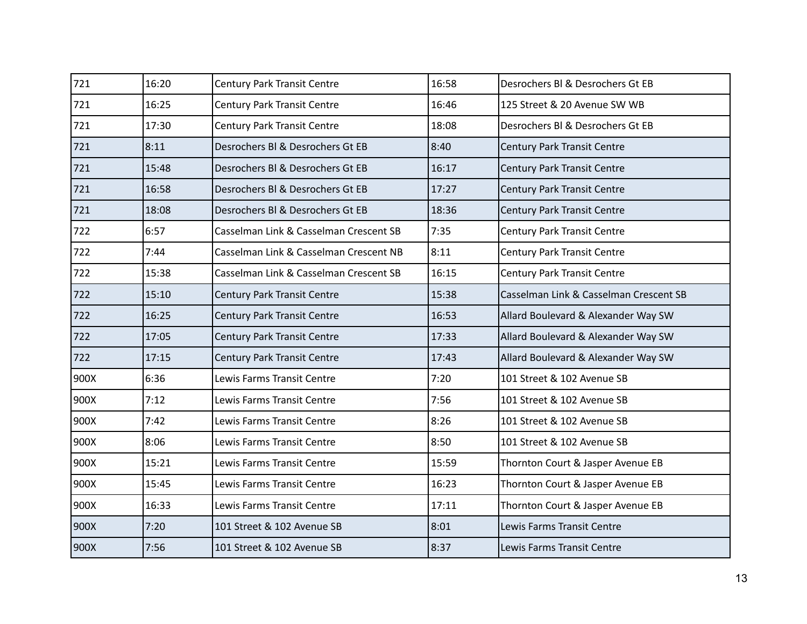| 721  | 16:20 | <b>Century Park Transit Centre</b>     | 16:58 | Desrochers BI & Desrochers Gt EB       |
|------|-------|----------------------------------------|-------|----------------------------------------|
| 721  | 16:25 | <b>Century Park Transit Centre</b>     | 16:46 | 125 Street & 20 Avenue SW WB           |
| 721  | 17:30 | Century Park Transit Centre            | 18:08 | Desrochers BI & Desrochers Gt EB       |
| 721  | 8:11  | Desrochers Bl & Desrochers Gt EB       | 8:40  | <b>Century Park Transit Centre</b>     |
| 721  | 15:48 | Desrochers Bl & Desrochers Gt EB       | 16:17 | <b>Century Park Transit Centre</b>     |
| 721  | 16:58 | Desrochers Bl & Desrochers Gt EB       | 17:27 | <b>Century Park Transit Centre</b>     |
| 721  | 18:08 | Desrochers BI & Desrochers Gt EB       | 18:36 | <b>Century Park Transit Centre</b>     |
| 722  | 6:57  | Casselman Link & Casselman Crescent SB | 7:35  | <b>Century Park Transit Centre</b>     |
| 722  | 7:44  | Casselman Link & Casselman Crescent NB | 8:11  | <b>Century Park Transit Centre</b>     |
| 722  | 15:38 | Casselman Link & Casselman Crescent SB | 16:15 | <b>Century Park Transit Centre</b>     |
| 722  | 15:10 | Century Park Transit Centre            | 15:38 | Casselman Link & Casselman Crescent SB |
| 722  | 16:25 | Century Park Transit Centre            | 16:53 | Allard Boulevard & Alexander Way SW    |
| 722  | 17:05 | <b>Century Park Transit Centre</b>     | 17:33 | Allard Boulevard & Alexander Way SW    |
| 722  | 17:15 | Century Park Transit Centre            | 17:43 | Allard Boulevard & Alexander Way SW    |
| 900X | 6:36  | Lewis Farms Transit Centre             | 7:20  | 101 Street & 102 Avenue SB             |
| 900X | 7:12  | Lewis Farms Transit Centre             | 7:56  | 101 Street & 102 Avenue SB             |
| 900X | 7:42  | Lewis Farms Transit Centre             | 8:26  | 101 Street & 102 Avenue SB             |
| 900X | 8:06  | Lewis Farms Transit Centre             | 8:50  | 101 Street & 102 Avenue SB             |
| 900X | 15:21 | Lewis Farms Transit Centre             | 15:59 | Thornton Court & Jasper Avenue EB      |
| 900X | 15:45 | Lewis Farms Transit Centre             | 16:23 | Thornton Court & Jasper Avenue EB      |
| 900X | 16:33 | Lewis Farms Transit Centre             | 17:11 | Thornton Court & Jasper Avenue EB      |
| 900X | 7:20  | 101 Street & 102 Avenue SB             | 8:01  | Lewis Farms Transit Centre             |
| 900X | 7:56  | 101 Street & 102 Avenue SB             | 8:37  | Lewis Farms Transit Centre             |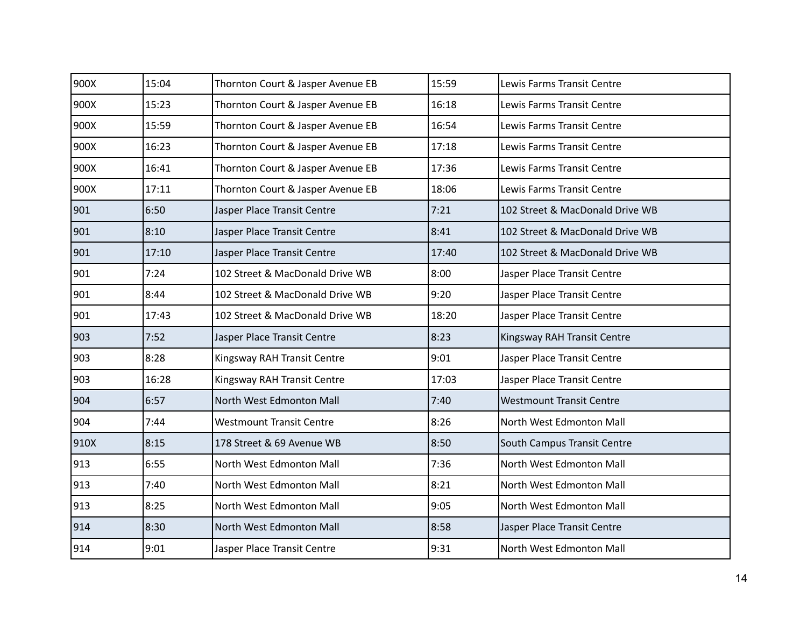| 900X | 15:04 | Thornton Court & Jasper Avenue EB | 15:59 | Lewis Farms Transit Centre      |
|------|-------|-----------------------------------|-------|---------------------------------|
| 900X | 15:23 | Thornton Court & Jasper Avenue EB | 16:18 | Lewis Farms Transit Centre      |
| 900X | 15:59 | Thornton Court & Jasper Avenue EB | 16:54 | Lewis Farms Transit Centre      |
| 900X | 16:23 | Thornton Court & Jasper Avenue EB | 17:18 | Lewis Farms Transit Centre      |
| 900X | 16:41 | Thornton Court & Jasper Avenue EB | 17:36 | Lewis Farms Transit Centre      |
| 900X | 17:11 | Thornton Court & Jasper Avenue EB | 18:06 | Lewis Farms Transit Centre      |
| 901  | 6:50  | Jasper Place Transit Centre       | 7:21  | 102 Street & MacDonald Drive WB |
| 901  | 8:10  | Jasper Place Transit Centre       | 8:41  | 102 Street & MacDonald Drive WB |
| 901  | 17:10 | Jasper Place Transit Centre       | 17:40 | 102 Street & MacDonald Drive WB |
| 901  | 7:24  | 102 Street & MacDonald Drive WB   | 8:00  | Jasper Place Transit Centre     |
| 901  | 8:44  | 102 Street & MacDonald Drive WB   | 9:20  | Jasper Place Transit Centre     |
| 901  | 17:43 | 102 Street & MacDonald Drive WB   | 18:20 | Jasper Place Transit Centre     |
| 903  | 7:52  | Jasper Place Transit Centre       | 8:23  | Kingsway RAH Transit Centre     |
| 903  | 8:28  | Kingsway RAH Transit Centre       | 9:01  | Jasper Place Transit Centre     |
| 903  | 16:28 | Kingsway RAH Transit Centre       | 17:03 | Jasper Place Transit Centre     |
| 904  | 6:57  | North West Edmonton Mall          | 7:40  | <b>Westmount Transit Centre</b> |
| 904  | 7:44  | <b>Westmount Transit Centre</b>   | 8:26  | North West Edmonton Mall        |
| 910X | 8:15  | 178 Street & 69 Avenue WB         | 8:50  | South Campus Transit Centre     |
| 913  | 6:55  | North West Edmonton Mall          | 7:36  | North West Edmonton Mall        |
| 913  | 7:40  | North West Edmonton Mall          | 8:21  | North West Edmonton Mall        |
| 913  | 8:25  | North West Edmonton Mall          | 9:05  | North West Edmonton Mall        |
| 914  | 8:30  | North West Edmonton Mall          | 8:58  | Jasper Place Transit Centre     |
| 914  | 9:01  | Jasper Place Transit Centre       | 9:31  | North West Edmonton Mall        |